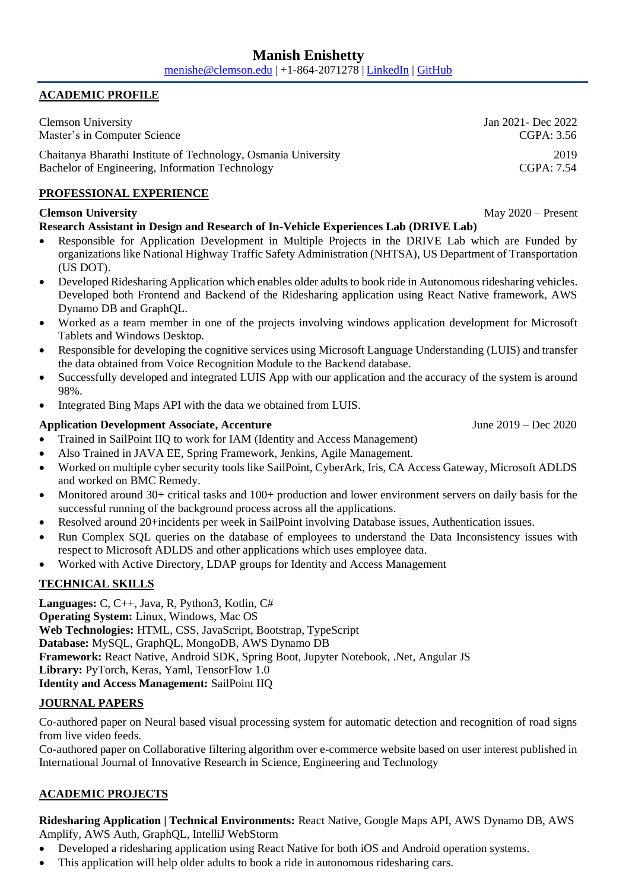#### **ACADEMIC PROFILE**

Clemson University Jan 2021- Dec 2022 Master's in Computer Science CGPA: 3.56

Chaitanya Bharathi Institute of Technology, Osmania University 2019 Bachelor of Engineering, Information Technology CGPA: 7.54

## **PROFESSIONAL EXPERIENCE**

### **Clemson University** May 2020 – Present

## **Research Assistant in Design and Research of In-Vehicle Experiences Lab (DRIVE Lab)**

- Responsible for Application Development in Multiple Projects in the DRIVE Lab which are Funded by organizations like National Highway Traffic Safety Administration (NHTSA), US Department of Transportation (US DOT).
- Developed Ridesharing Application which enables older adults to book ride in Autonomous ridesharing vehicles. Developed both Frontend and Backend of the Ridesharing application using React Native framework, AWS Dynamo DB and GraphQL.
- Worked as a team member in one of the projects involving windows application development for Microsoft Tablets and Windows Desktop.
- Responsible for developing the cognitive services using Microsoft Language Understanding (LUIS) and transfer the data obtained from Voice Recognition Module to the Backend database.
- Successfully developed and integrated LUIS App with our application and the accuracy of the system is around 98%.
- Integrated Bing Maps API with the data we obtained from LUIS.

## **Application Development Associate, Accenture** June 2019 – Dec 2020

- Trained in SailPoint IIQ to work for IAM (Identity and Access Management)
- Also Trained in JAVA EE, Spring Framework, Jenkins, Agile Management.
- Worked on multiple cyber security tools like SailPoint, CyberArk, Iris, CA Access Gateway, Microsoft ADLDS and worked on BMC Remedy.
- Monitored around 30+ critical tasks and 100+ production and lower environment servers on daily basis for the successful running of the background process across all the applications.
- Resolved around 20+incidents per week in SailPoint involving Database issues, Authentication issues.
- Run Complex SQL queries on the database of employees to understand the Data Inconsistency issues with respect to Microsoft ADLDS and other applications which uses employee data.
- Worked with Active Directory, LDAP groups for Identity and Access Management

# **TECHNICAL SKILLS**

**Languages:** C, C++, Java, R, Python3, Kotlin, C# **Operating System:** Linux, Windows, Mac OS **Web Technologies:** HTML, CSS, JavaScript, Bootstrap, TypeScript **Database:** MySQL, GraphQL, MongoDB, AWS Dynamo DB **Framework:** React Native, Android SDK, Spring Boot, Jupyter Notebook, .Net, Angular JS **Library:** PyTorch, Keras, Yaml, TensorFlow 1.0 **Identity and Access Management:** SailPoint IIQ

### **JOURNAL PAPERS**

Co-authored paper on Neural based visual processing system for automatic detection and recognition of road signs from live video feeds.

Co-authored paper on Collaborative filtering algorithm over e-commerce website based on user interest published in International Journal of Innovative Research in Science, Engineering and Technology

## **ACADEMIC PROJECTS**

**Ridesharing Application | Technical Environments:** React Native, Google Maps API, AWS Dynamo DB, AWS Amplify, AWS Auth, GraphQL, IntelliJ WebStorm

- Developed a ridesharing application using React Native for both iOS and Android operation systems.
- This application will help older adults to book a ride in autonomous ridesharing cars.